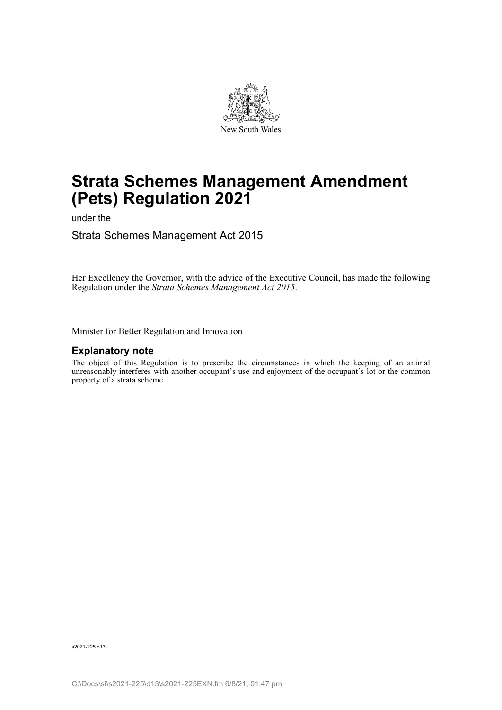

# **Strata Schemes Management Amendment (Pets) Regulation 2021**

under the

Strata Schemes Management Act 2015

Her Excellency the Governor, with the advice of the Executive Council, has made the following Regulation under the *Strata Schemes Management Act 2015*.

Minister for Better Regulation and Innovation

### **Explanatory note**

The object of this Regulation is to prescribe the circumstances in which the keeping of an animal unreasonably interferes with another occupant's use and enjoyment of the occupant's lot or the common property of a strata scheme.

s2021-225.d13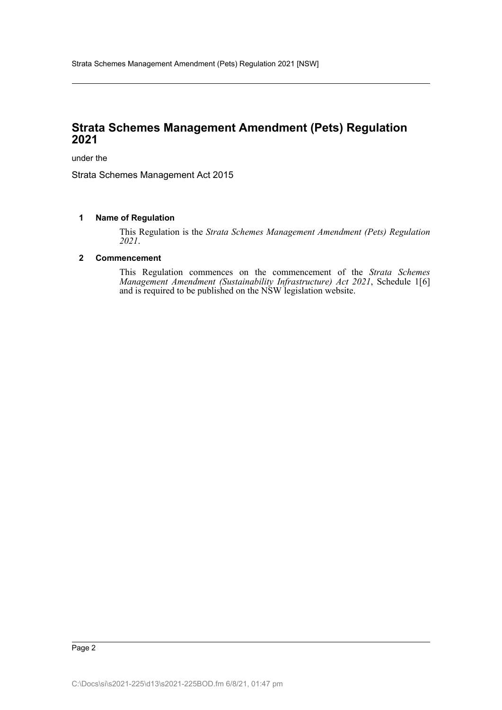## **Strata Schemes Management Amendment (Pets) Regulation 2021**

under the

Strata Schemes Management Act 2015

#### **1 Name of Regulation**

This Regulation is the *Strata Schemes Management Amendment (Pets) Regulation 2021*.

#### **2 Commencement**

This Regulation commences on the commencement of the *Strata Schemes Management Amendment (Sustainability Infrastructure) Act 2021*, Schedule 1[6] and is required to be published on the NSW legislation website.